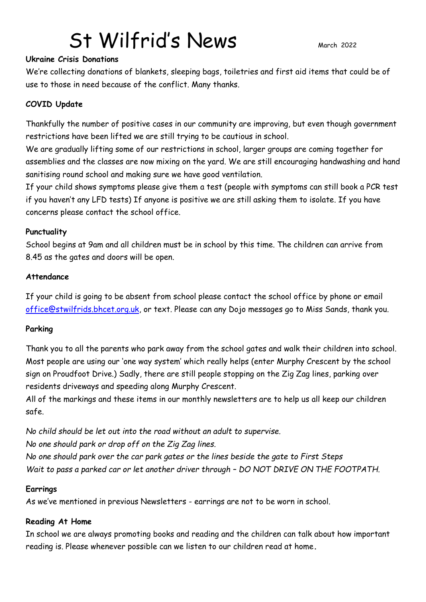# St Wilfrid's News March 2022

#### **Ukraine Crisis Donations**

We're collecting donations of blankets, sleeping bags, toiletries and first aid items that could be of use to those in need because of the conflict. Many thanks.

#### **COVID Update**

Thankfully the number of positive cases in our community are improving, but even though government restrictions have been lifted we are still trying to be cautious in school.

We are gradually lifting some of our restrictions in school, larger groups are coming together for assemblies and the classes are now mixing on the yard. We are still encouraging handwashing and hand sanitising round school and making sure we have good ventilation.

If your child shows symptoms please give them a test (people with symptoms can still book a PCR test if you haven't any LFD tests) If anyone is positive we are still asking them to isolate. If you have concerns please contact the school office.

#### **Punctuality**

School begins at 9am and all children must be in school by this time. The children can arrive from 8.45 as the gates and doors will be open.

#### **Attendance**

If your child is going to be absent from school please contact the school office by phone or email [office@stwilfrids.bhcet.org.uk,](mailto:office@stwilfrids.bhcet.org.uk) or text. Please can any Dojo messages go to Miss Sands, thank you.

#### **Parking**

Thank you to all the parents who park away from the school gates and walk their children into school. Most people are using our 'one way system' which really helps (enter Murphy Crescent by the school sign on Proudfoot Drive.) Sadly, there are still people stopping on the Zig Zag lines, parking over residents driveways and speeding along Murphy Crescent.

All of the markings and these items in our monthly newsletters are to help us all keep our children safe.

*No child should be let out into the road without an adult to supervise. No one should park or drop off on the Zig Zag lines. No one should park over the car park gates or the lines beside the gate to First Steps Wait to pass a parked car or let another driver through – DO NOT DRIVE ON THE FOOTPATH.*

#### **Earrings**

As we've mentioned in previous Newsletters - earrings are not to be worn in school.

#### **Reading At Home**

In school we are always promoting books and reading and the children can talk about how important reading is. Please whenever possible can we listen to our children read at home**.**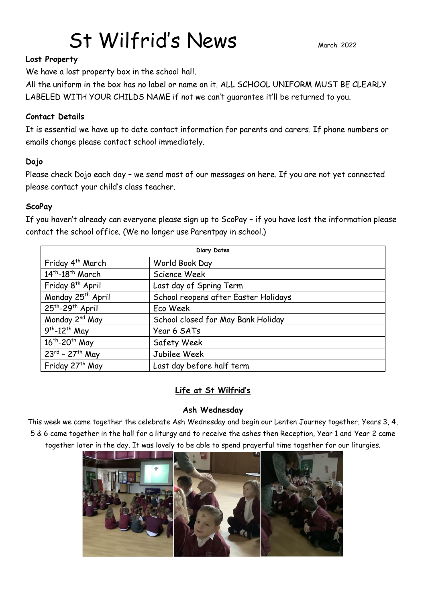# St Wilfrid's News March 2022

#### **Lost Property**

We have a lost property box in the school hall.

All the uniform in the box has no label or name on it. ALL SCHOOL UNIFORM MUST BE CLEARLY LABELED WITH YOUR CHILDS NAME if not we can't guarantee it'll be returned to you.

#### **Contact Details**

It is essential we have up to date contact information for parents and carers. If phone numbers or emails change please contact school immediately.

#### **Dojo**

Please check Dojo each day – we send most of our messages on here. If you are not yet connected please contact your child's class teacher.

#### **ScoPay**

If you haven't already can everyone please sign up to ScoPay – if you have lost the information please contact the school office. (We no longer use Parentpay in school.)

| <b>Diary Dates</b>                        |                                      |
|-------------------------------------------|--------------------------------------|
| Friday 4 <sup>th</sup> March              | World Book Day                       |
| $14th - 18th$ March                       | Science Week                         |
| Friday 8 <sup>th</sup> April              | Last day of Spring Term              |
| Monday 25 <sup>th</sup> April             | School reopens after Easter Holidays |
| 25 <sup>th</sup> -29 <sup>th</sup> April  | Eco Week                             |
| Monday 2 <sup>nd</sup> May                | School closed for May Bank Holiday   |
| $\overline{9^{th}}$ -12 <sup>th</sup> May | Year 6 SATs                          |
| 16 <sup>th</sup> -20 <sup>th</sup> May    | Safety Week                          |
| $23^{rd}$ - 27 <sup>th</sup> May          | Jubilee Week                         |
| Friday 27 <sup>th</sup> May               | Last day before half term            |

#### **Life at St Wilfrid's**

#### **Ash Wednesday**

This week we came together the celebrate Ash Wednesday and begin our Lenten Journey together. Years 3, 4, 5 & 6 came together in the hall for a liturgy and to receive the ashes then Reception, Year 1 and Year 2 came together later in the day. It was lovely to be able to spend prayerful time together for our liturgies.

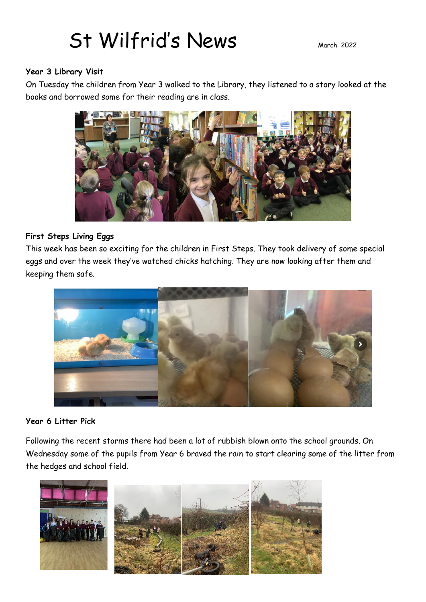## St Wilfrid's News March 2022

#### **Year 3 Library Visit**

On Tuesday the children from Year 3 walked to the Library, they listened to a story looked at the books and borrowed some for their reading are in class.



### **First Steps Living Eggs**

This week has been so exciting for the children in First Steps. They took delivery of some special eggs and over the week they've watched chicks hatching. They are now looking after them and keeping them safe.



#### **Year 6 Litter Pick**

Following the recent storms there had been a lot of rubbish blown onto the school grounds. On Wednesday some of the pupils from Year 6 braved the rain to start clearing some of the litter from the hedges and school field.

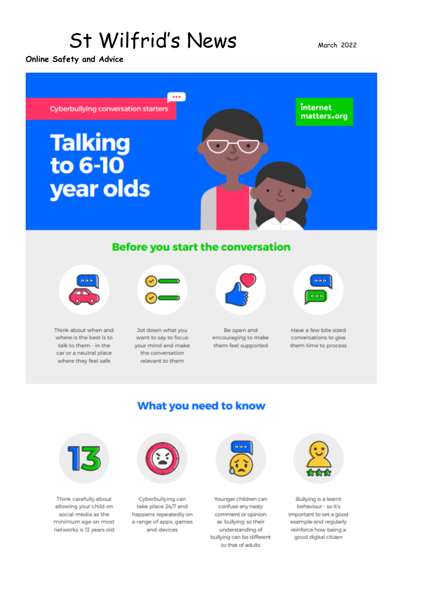## St Wilfrid's News

**Online Safety and Advice**



What you need to know



Think about when and where is the best is to talk to them - in the car or a neutral place where they feel safe



Jot down what you want to say to focus your mind and make the conversation relevant to them



Be open and encouraging to make them feel supported



Have a few bite sized conversations to give them time to process



Think carefully about allowing your child on social media as the minimum age on most networks is 13 years old



Cyberbullying can take place 24/7 and happens repeatedly on a range of apps, games and devices



Younger children can confuse any nasty comment or opinion as bullying so their understanding of bullying can be different to that of adults



Bullying is a learnt behaviour - so it's important to set a good example and regularly reinforce how being a good digital citizen